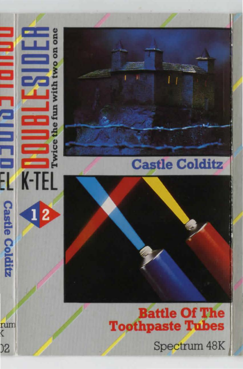# **Ono K-TEL**  $\overline{\mathbf{2}}$



### **Castle Colditz**

**Battle Of The Toothpaste Tubes** 

Spectrum 48K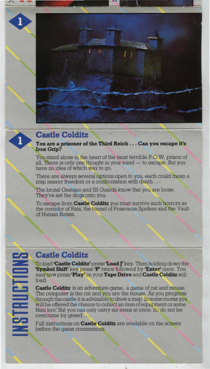

#### **Castle Colditz**

**You are a prisoner of the Third Reich . . . Can you escape it's Iron Grip?** 

You stand alone in the heart of the most terrible P.O.W. prison of all. There is only one thought in your mind — to escape. But you have no idea of which way to go.

There are always several options open to you, each could mean a step nearer freedom or a confrontation with death...

The brutal Gestapo and SS Guards know that you are loose. They've set the dogs onto you.

To escape from **Castle Colditz** you must survive such horrors as the corridor of Rats, the tunnel of Poisonous Spiders and the Vault of Human Bones.

#### **Castle Colditz**

<u>الم</u>

**THUETO** 

To load **'Castle Colditz'** press 'Load **J'** key. Then holding down the **'Symbol Shift'** key press **'P'** twice followed by **'Enter'** once. You may now press **'Play'** on your **Tape Drive and Castle Colditz** will load.

**Castle Colditz** is an adventure.game, a game of cat and mouse. The computer is the cat and you are the mouse. As you progress through the castle it is advisable to draw a map. In some rooms you will be offered the chance to collect an item of equipment or some Nazi loot. But you can only carry six items at once. So do not be overcome by greed . .

Full instructions on **Castle Colditz** are available on the screen before the game commences.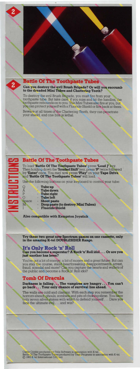

#### **Battle Of The Toothpaste Tubes**

**Can you destroy the evil Brush Brigade? Or will you succumb to the dreaded Mini Tubes and Chattering Teeth?** 

To destroy the evil Brush Brigade, you must fire from your toothpaste tube. But take care, if you miss and hit the handles, the toothpaste rebounds on to you. The Mini Tubes also fire at you, but you can protect yourself with a Fluoride Shield or fire back at them.

Beware at all times of the Chattering Teeth, they can penetrate your shield, and one bite is lethal.

| <b>Battle Of The Toothpaste Tubes</b>                |
|------------------------------------------------------|
| To load 'Battle Of The Toothpaste Tubes' press 'Load |

To load 'Battle Of The Toothpaste Tubes' press 'Load J' key.<br>Then holding down the 'Symbol Shift' key, press 'P' twice followed<br>by 'Enter' once. You may now press 'Play' on your Tape Drive,<br>and 'Battle Of The Toothpaste Tu

Use the following buttons on your keyboard to control your tube:

|              | <b>Tube up</b>                     |
|--------------|------------------------------------|
| Ā            | <b>Tube down</b>                   |
| P            | <b>Tube right</b>                  |
| Ο            | <b>Tube left</b>                   |
| <b>Space</b> | <b>Shoot paste</b>                 |
| M            | Drop paste (to destroy Mini Tubes) |

I

- **V<sub>II</sub>**<br>ht
- 
- -
- **nuoride Shield**

**Also compatible with Kempston Joystick** 

**Try these two great new Spectrum games on one cassette, only in the amazing K·tel DOUBLESIDER Range.** 

**It's Only Rock 'n' Roll Can you become a supentar? A Rock 'n' Roll idol** ... **Or are you justanother has been?** 

You've got a lot of energy, a bit of money and a great future. But can<br>you stay the course, stand heartbreaking disappointments, arrest,<br>fraud, scandal and more? Can you capture the hearts and wallets of<br>the public and bec

#### **Tomb Of Dracula**

**Darkness is falling . . . The vampires are hungry ... You can't go back** ... **Your only chance of survival lies ahead.** 

The walls are cold and clammy. With each step you remember the horrors ahead; ghouls, zombies and pits of choking slime. You have<br>only seven silver stakes with which to defend yourself . . . Dare you face the ultimate evil ... and win?

Castle Colditz produced by Felix Software in association with K-tel.<br>Battle Of The Toothpaste Tubes produced by Titan Programs in association with K-tel.<br>© 1983 K-tel International (UK) Ltd.